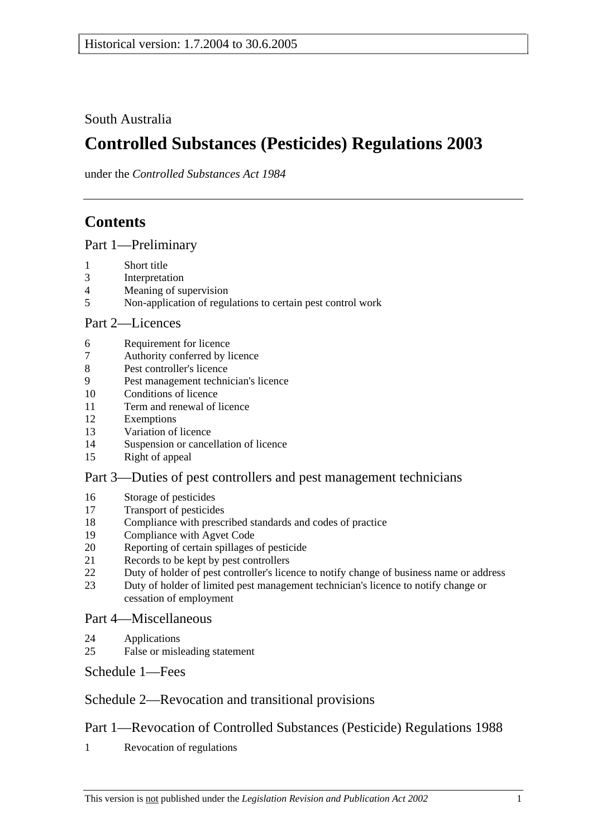South Australia

# **Controlled Substances (Pesticides) Regulations 2003**

under the *Controlled Substances Act 1984*

# **Contents**

Part 1—Preliminary

- 1 Short title
- 3 Interpretation
- 4 Meaning of supervision
- 5 Non-application of regulations to certain pest control work

### Part 2—Licences

- 6 Requirement for licence
- 7 Authority conferred by licence
- 8 Pest controller's licence
- 9 Pest management technician's licence
- 10 Conditions of licence
- 11 Term and renewal of licence
- 12 Exemptions
- 13 Variation of licence
- 14 Suspension or cancellation of licence
- 15 Right of appeal

### Part 3—Duties of pest controllers and pest management technicians

- 16 Storage of pesticides
- 17 Transport of pesticides
- 18 Compliance with prescribed standards and codes of practice
- 19 Compliance with Agvet Code
- 20 Reporting of certain spillages of pesticide
- 21 Records to be kept by pest controllers
- 22 Duty of holder of pest controller's licence to notify change of business name or address
- 23 Duty of holder of limited pest management technician's licence to notify change or cessation of employment

### Part 4—Miscellaneous

- 24 Applications
- 25 False or misleading statement

Schedule 1—Fees

# Schedule 2—Revocation and transitional provisions

# Part 1—Revocation of Controlled Substances (Pesticide) Regulations 1988

1 Revocation of regulations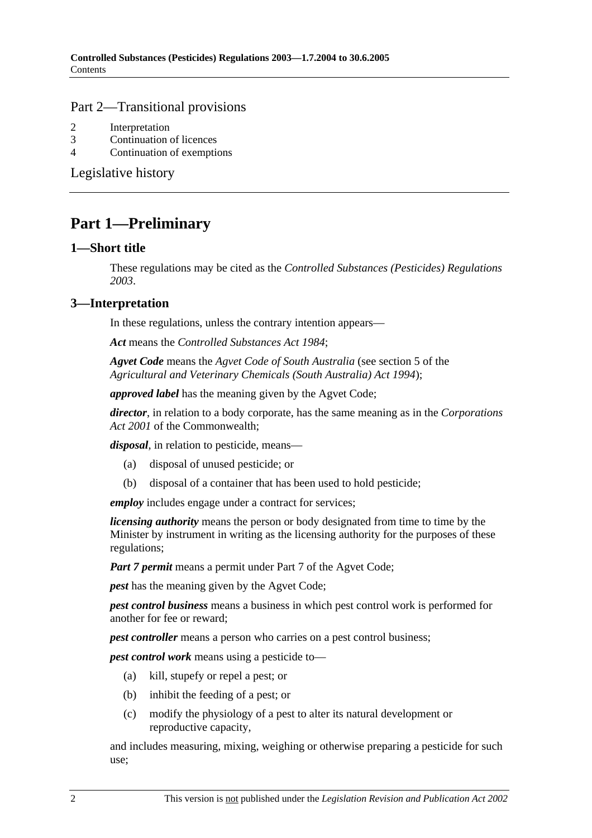#### Part 2—Transitional provisions

- 2 Interpretation
- 3 Continuation of licences
- 4 Continuation of exemptions

Legislative history

# **Part 1—Preliminary**

#### **1—Short title**

These regulations may be cited as the *Controlled Substances (Pesticides) Regulations 2003*.

### **3—Interpretation**

In these regulations, unless the contrary intention appears—

*Act* means the *Controlled Substances Act 1984*;

*Agvet Code* means the *Agvet Code of South Australia* (see section 5 of the *Agricultural and Veterinary Chemicals (South Australia) Act 1994*);

*approved label* has the meaning given by the Agvet Code;

*director*, in relation to a body corporate, has the same meaning as in the *Corporations Act 2001* of the Commonwealth;

*disposal*, in relation to pesticide, means—

- (a) disposal of unused pesticide; or
- (b) disposal of a container that has been used to hold pesticide;

*employ* includes engage under a contract for services;

*licensing authority* means the person or body designated from time to time by the Minister by instrument in writing as the licensing authority for the purposes of these regulations;

*Part 7 permit* means a permit under Part 7 of the Agvet Code;

*pest* has the meaning given by the Agvet Code;

*pest control business* means a business in which pest control work is performed for another for fee or reward;

*pest controller* means a person who carries on a pest control business:

*pest control work* means using a pesticide to—

- (a) kill, stupefy or repel a pest; or
- (b) inhibit the feeding of a pest; or
- (c) modify the physiology of a pest to alter its natural development or reproductive capacity,

and includes measuring, mixing, weighing or otherwise preparing a pesticide for such use;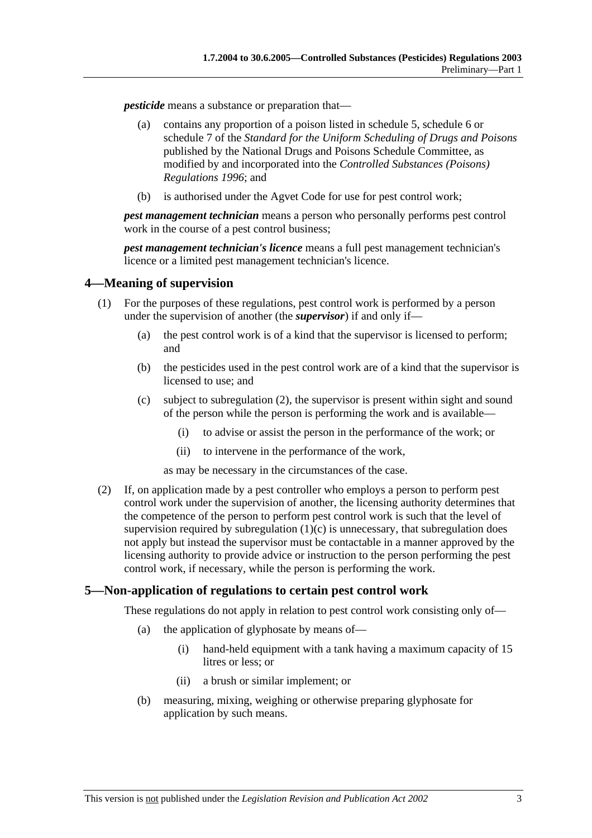*pesticide* means a substance or preparation that—

- (a) contains any proportion of a poison listed in schedule 5, schedule 6 or schedule 7 of the *Standard for the Uniform Scheduling of Drugs and Poisons* published by the National Drugs and Poisons Schedule Committee, as modified by and incorporated into the *Controlled Substances (Poisons) Regulations 1996*; and
- (b) is authorised under the Agvet Code for use for pest control work;

*pest management technician* means a person who personally performs pest control work in the course of a pest control business;

*pest management technician's licence* means a full pest management technician's licence or a limited pest management technician's licence.

#### **4—Meaning of supervision**

- (1) For the purposes of these regulations, pest control work is performed by a person under the supervision of another (the *supervisor*) if and only if—
	- (a) the pest control work is of a kind that the supervisor is licensed to perform; and
	- (b) the pesticides used in the pest control work are of a kind that the supervisor is licensed to use; and
	- (c) subject to subregulation (2), the supervisor is present within sight and sound of the person while the person is performing the work and is available—
		- (i) to advise or assist the person in the performance of the work; or
		- (ii) to intervene in the performance of the work,

as may be necessary in the circumstances of the case.

 (2) If, on application made by a pest controller who employs a person to perform pest control work under the supervision of another, the licensing authority determines that the competence of the person to perform pest control work is such that the level of supervision required by subregulation  $(1)(c)$  is unnecessary, that subregulation does not apply but instead the supervisor must be contactable in a manner approved by the licensing authority to provide advice or instruction to the person performing the pest control work, if necessary, while the person is performing the work.

### **5—Non-application of regulations to certain pest control work**

These regulations do not apply in relation to pest control work consisting only of—

- (a) the application of glyphosate by means of—
	- (i) hand-held equipment with a tank having a maximum capacity of 15 litres or less; or
	- (ii) a brush or similar implement; or
- (b) measuring, mixing, weighing or otherwise preparing glyphosate for application by such means.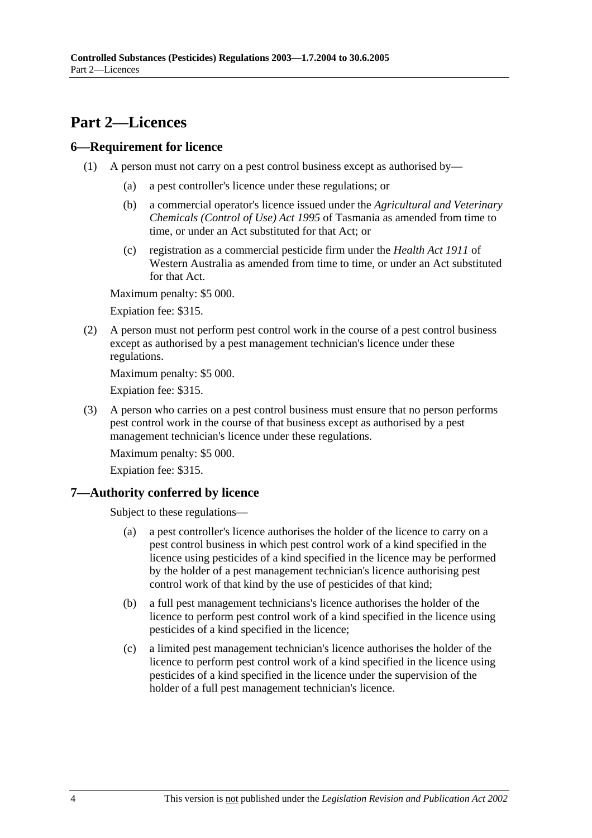# **Part 2—Licences**

### **6—Requirement for licence**

- (1) A person must not carry on a pest control business except as authorised by—
	- (a) a pest controller's licence under these regulations; or
	- (b) a commercial operator's licence issued under the *Agricultural and Veterinary Chemicals (Control of Use) Act 1995* of Tasmania as amended from time to time, or under an Act substituted for that Act; or
	- (c) registration as a commercial pesticide firm under the *Health Act 1911* of Western Australia as amended from time to time, or under an Act substituted for that Act.

Maximum penalty: \$5 000.

Expiation fee: \$315.

 (2) A person must not perform pest control work in the course of a pest control business except as authorised by a pest management technician's licence under these regulations.

Maximum penalty: \$5 000.

Expiation fee: \$315.

 (3) A person who carries on a pest control business must ensure that no person performs pest control work in the course of that business except as authorised by a pest management technician's licence under these regulations.

Maximum penalty: \$5 000.

Expiation fee: \$315.

# **7—Authority conferred by licence**

Subject to these regulations—

- (a) a pest controller's licence authorises the holder of the licence to carry on a pest control business in which pest control work of a kind specified in the licence using pesticides of a kind specified in the licence may be performed by the holder of a pest management technician's licence authorising pest control work of that kind by the use of pesticides of that kind;
- (b) a full pest management technicians's licence authorises the holder of the licence to perform pest control work of a kind specified in the licence using pesticides of a kind specified in the licence;
- (c) a limited pest management technician's licence authorises the holder of the licence to perform pest control work of a kind specified in the licence using pesticides of a kind specified in the licence under the supervision of the holder of a full pest management technician's licence.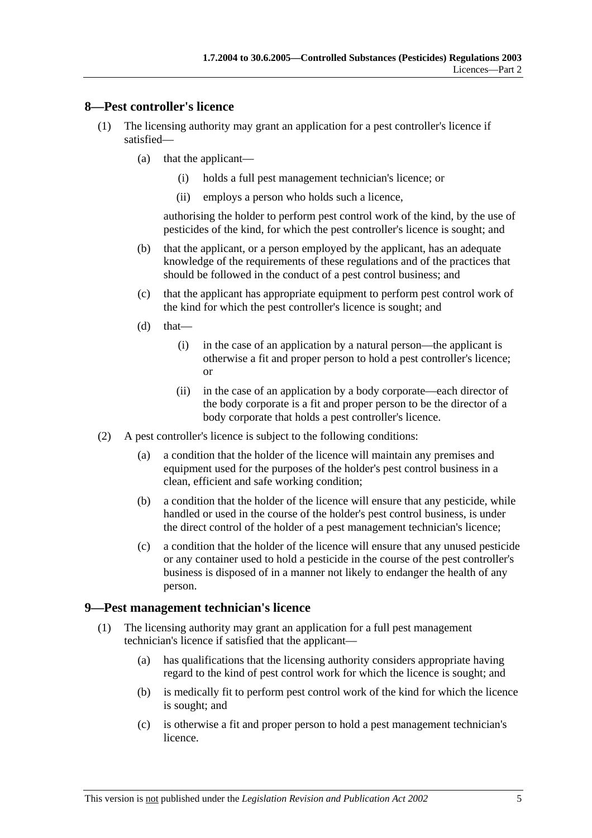#### **8—Pest controller's licence**

- (1) The licensing authority may grant an application for a pest controller's licence if satisfied—
	- (a) that the applicant—
		- (i) holds a full pest management technician's licence; or
		- (ii) employs a person who holds such a licence,

authorising the holder to perform pest control work of the kind, by the use of pesticides of the kind, for which the pest controller's licence is sought; and

- (b) that the applicant, or a person employed by the applicant, has an adequate knowledge of the requirements of these regulations and of the practices that should be followed in the conduct of a pest control business; and
- (c) that the applicant has appropriate equipment to perform pest control work of the kind for which the pest controller's licence is sought; and
- $(d)$  that—
	- (i) in the case of an application by a natural person—the applicant is otherwise a fit and proper person to hold a pest controller's licence; or
	- (ii) in the case of an application by a body corporate—each director of the body corporate is a fit and proper person to be the director of a body corporate that holds a pest controller's licence.
- (2) A pest controller's licence is subject to the following conditions:
	- (a) a condition that the holder of the licence will maintain any premises and equipment used for the purposes of the holder's pest control business in a clean, efficient and safe working condition;
	- (b) a condition that the holder of the licence will ensure that any pesticide, while handled or used in the course of the holder's pest control business, is under the direct control of the holder of a pest management technician's licence;
	- (c) a condition that the holder of the licence will ensure that any unused pesticide or any container used to hold a pesticide in the course of the pest controller's business is disposed of in a manner not likely to endanger the health of any person.

#### **9—Pest management technician's licence**

- (1) The licensing authority may grant an application for a full pest management technician's licence if satisfied that the applicant—
	- (a) has qualifications that the licensing authority considers appropriate having regard to the kind of pest control work for which the licence is sought; and
	- (b) is medically fit to perform pest control work of the kind for which the licence is sought; and
	- (c) is otherwise a fit and proper person to hold a pest management technician's licence.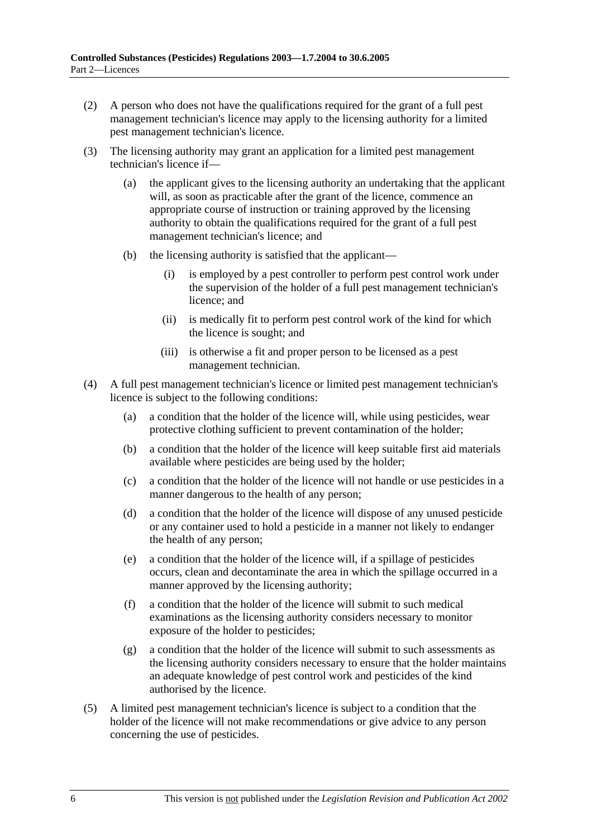- (2) A person who does not have the qualifications required for the grant of a full pest management technician's licence may apply to the licensing authority for a limited pest management technician's licence.
- (3) The licensing authority may grant an application for a limited pest management technician's licence if—
	- (a) the applicant gives to the licensing authority an undertaking that the applicant will, as soon as practicable after the grant of the licence, commence an appropriate course of instruction or training approved by the licensing authority to obtain the qualifications required for the grant of a full pest management technician's licence; and
	- (b) the licensing authority is satisfied that the applicant—
		- (i) is employed by a pest controller to perform pest control work under the supervision of the holder of a full pest management technician's licence; and
		- (ii) is medically fit to perform pest control work of the kind for which the licence is sought; and
		- (iii) is otherwise a fit and proper person to be licensed as a pest management technician.
- (4) A full pest management technician's licence or limited pest management technician's licence is subject to the following conditions:
	- (a) a condition that the holder of the licence will, while using pesticides, wear protective clothing sufficient to prevent contamination of the holder;
	- (b) a condition that the holder of the licence will keep suitable first aid materials available where pesticides are being used by the holder;
	- (c) a condition that the holder of the licence will not handle or use pesticides in a manner dangerous to the health of any person;
	- (d) a condition that the holder of the licence will dispose of any unused pesticide or any container used to hold a pesticide in a manner not likely to endanger the health of any person;
	- (e) a condition that the holder of the licence will, if a spillage of pesticides occurs, clean and decontaminate the area in which the spillage occurred in a manner approved by the licensing authority;
	- (f) a condition that the holder of the licence will submit to such medical examinations as the licensing authority considers necessary to monitor exposure of the holder to pesticides;
	- (g) a condition that the holder of the licence will submit to such assessments as the licensing authority considers necessary to ensure that the holder maintains an adequate knowledge of pest control work and pesticides of the kind authorised by the licence.
- (5) A limited pest management technician's licence is subject to a condition that the holder of the licence will not make recommendations or give advice to any person concerning the use of pesticides.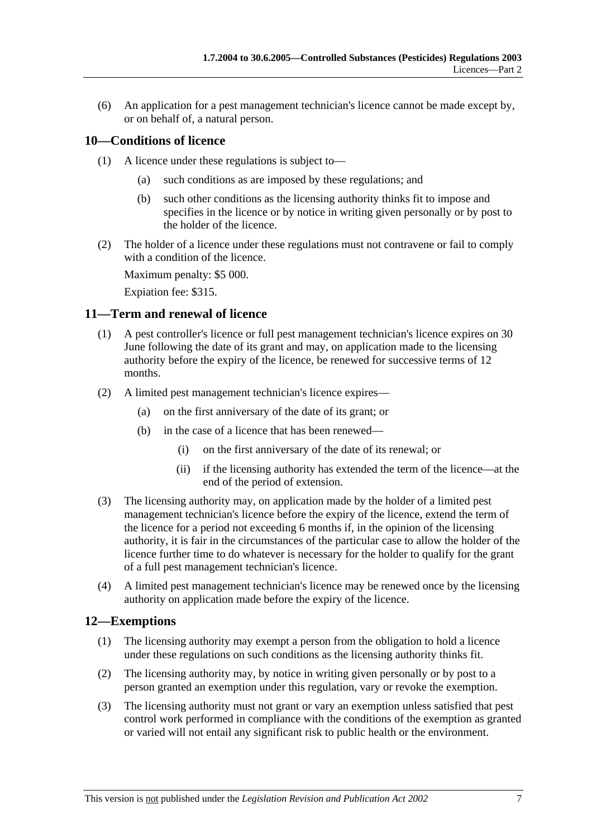(6) An application for a pest management technician's licence cannot be made except by, or on behalf of, a natural person.

### **10—Conditions of licence**

- (1) A licence under these regulations is subject to—
	- (a) such conditions as are imposed by these regulations; and
	- (b) such other conditions as the licensing authority thinks fit to impose and specifies in the licence or by notice in writing given personally or by post to the holder of the licence.
- (2) The holder of a licence under these regulations must not contravene or fail to comply with a condition of the licence.

Maximum penalty: \$5 000.

Expiation fee: \$315.

#### **11—Term and renewal of licence**

- (1) A pest controller's licence or full pest management technician's licence expires on 30 June following the date of its grant and may, on application made to the licensing authority before the expiry of the licence, be renewed for successive terms of 12 months.
- (2) A limited pest management technician's licence expires—
	- (a) on the first anniversary of the date of its grant; or
	- (b) in the case of a licence that has been renewed—
		- (i) on the first anniversary of the date of its renewal; or
		- (ii) if the licensing authority has extended the term of the licence—at the end of the period of extension.
- (3) The licensing authority may, on application made by the holder of a limited pest management technician's licence before the expiry of the licence, extend the term of the licence for a period not exceeding 6 months if, in the opinion of the licensing authority, it is fair in the circumstances of the particular case to allow the holder of the licence further time to do whatever is necessary for the holder to qualify for the grant of a full pest management technician's licence.
- (4) A limited pest management technician's licence may be renewed once by the licensing authority on application made before the expiry of the licence.

#### **12—Exemptions**

- (1) The licensing authority may exempt a person from the obligation to hold a licence under these regulations on such conditions as the licensing authority thinks fit.
- (2) The licensing authority may, by notice in writing given personally or by post to a person granted an exemption under this regulation, vary or revoke the exemption.
- (3) The licensing authority must not grant or vary an exemption unless satisfied that pest control work performed in compliance with the conditions of the exemption as granted or varied will not entail any significant risk to public health or the environment.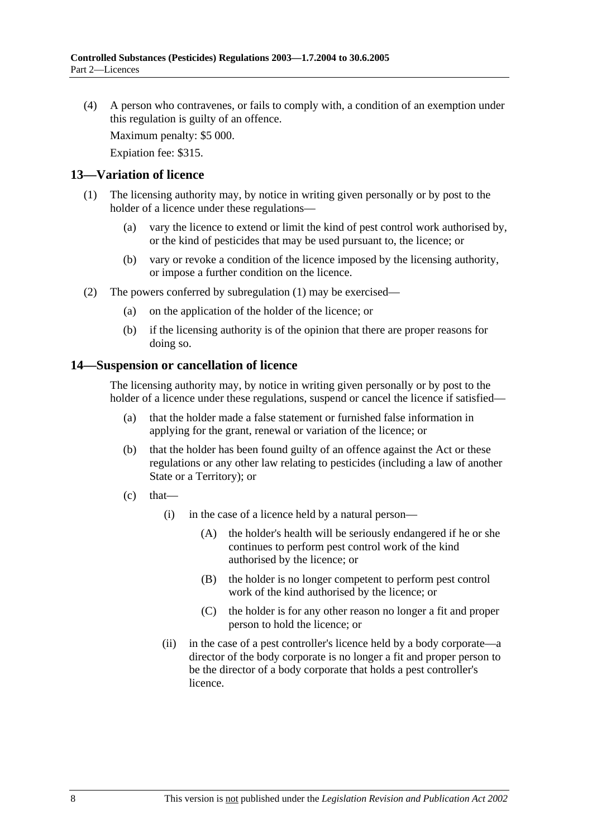(4) A person who contravenes, or fails to comply with, a condition of an exemption under this regulation is guilty of an offence.

Maximum penalty: \$5 000.

Expiation fee: \$315.

#### **13—Variation of licence**

- (1) The licensing authority may, by notice in writing given personally or by post to the holder of a licence under these regulations—
	- (a) vary the licence to extend or limit the kind of pest control work authorised by, or the kind of pesticides that may be used pursuant to, the licence; or
	- (b) vary or revoke a condition of the licence imposed by the licensing authority, or impose a further condition on the licence.
- (2) The powers conferred by subregulation (1) may be exercised—
	- (a) on the application of the holder of the licence; or
	- (b) if the licensing authority is of the opinion that there are proper reasons for doing so.

#### **14—Suspension or cancellation of licence**

The licensing authority may, by notice in writing given personally or by post to the holder of a licence under these regulations, suspend or cancel the licence if satisfied—

- (a) that the holder made a false statement or furnished false information in applying for the grant, renewal or variation of the licence; or
- (b) that the holder has been found guilty of an offence against the Act or these regulations or any other law relating to pesticides (including a law of another State or a Territory); or
- $(c)$  that—
	- (i) in the case of a licence held by a natural person—
		- (A) the holder's health will be seriously endangered if he or she continues to perform pest control work of the kind authorised by the licence; or
		- (B) the holder is no longer competent to perform pest control work of the kind authorised by the licence; or
		- (C) the holder is for any other reason no longer a fit and proper person to hold the licence; or
	- (ii) in the case of a pest controller's licence held by a body corporate—a director of the body corporate is no longer a fit and proper person to be the director of a body corporate that holds a pest controller's licence.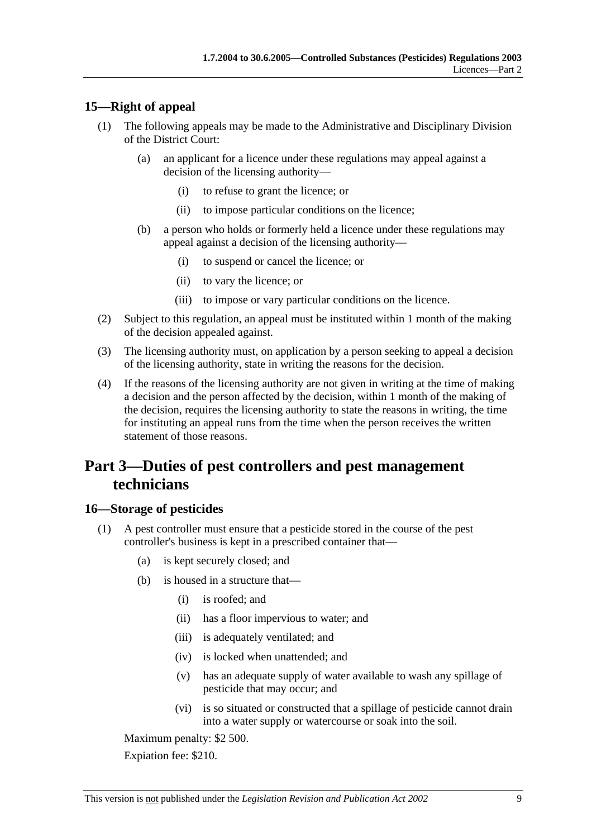## **15—Right of appeal**

- (1) The following appeals may be made to the Administrative and Disciplinary Division of the District Court:
	- (a) an applicant for a licence under these regulations may appeal against a decision of the licensing authority—
		- (i) to refuse to grant the licence; or
		- (ii) to impose particular conditions on the licence;
	- (b) a person who holds or formerly held a licence under these regulations may appeal against a decision of the licensing authority—
		- (i) to suspend or cancel the licence; or
		- (ii) to vary the licence; or
		- (iii) to impose or vary particular conditions on the licence.
- (2) Subject to this regulation, an appeal must be instituted within 1 month of the making of the decision appealed against.
- (3) The licensing authority must, on application by a person seeking to appeal a decision of the licensing authority, state in writing the reasons for the decision.
- (4) If the reasons of the licensing authority are not given in writing at the time of making a decision and the person affected by the decision, within 1 month of the making of the decision, requires the licensing authority to state the reasons in writing, the time for instituting an appeal runs from the time when the person receives the written statement of those reasons.

# **Part 3—Duties of pest controllers and pest management technicians**

### **16—Storage of pesticides**

- (1) A pest controller must ensure that a pesticide stored in the course of the pest controller's business is kept in a prescribed container that—
	- (a) is kept securely closed; and
	- (b) is housed in a structure that—
		- (i) is roofed; and
		- (ii) has a floor impervious to water; and
		- (iii) is adequately ventilated; and
		- (iv) is locked when unattended; and
		- (v) has an adequate supply of water available to wash any spillage of pesticide that may occur; and
		- (vi) is so situated or constructed that a spillage of pesticide cannot drain into a water supply or watercourse or soak into the soil.

Maximum penalty: \$2 500.

Expiation fee: \$210.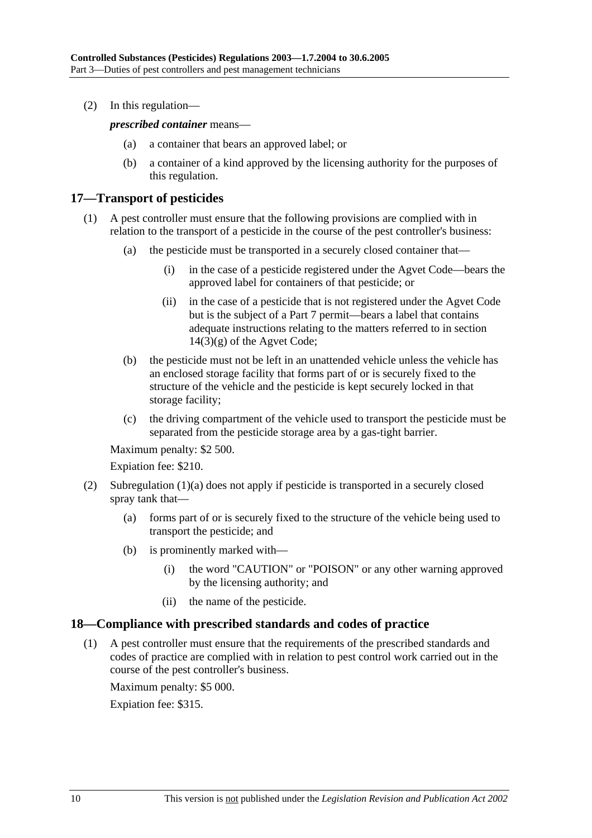(2) In this regulation—

*prescribed container* means—

- (a) a container that bears an approved label; or
- (b) a container of a kind approved by the licensing authority for the purposes of this regulation.

### **17—Transport of pesticides**

- (1) A pest controller must ensure that the following provisions are complied with in relation to the transport of a pesticide in the course of the pest controller's business:
	- (a) the pesticide must be transported in a securely closed container that—
		- (i) in the case of a pesticide registered under the Agvet Code—bears the approved label for containers of that pesticide; or
		- (ii) in the case of a pesticide that is not registered under the Agvet Code but is the subject of a Part 7 permit—bears a label that contains adequate instructions relating to the matters referred to in section  $14(3)(g)$  of the Agvet Code;
	- (b) the pesticide must not be left in an unattended vehicle unless the vehicle has an enclosed storage facility that forms part of or is securely fixed to the structure of the vehicle and the pesticide is kept securely locked in that storage facility;
	- (c) the driving compartment of the vehicle used to transport the pesticide must be separated from the pesticide storage area by a gas-tight barrier.

Maximum penalty: \$2 500.

Expiation fee: \$210.

- (2) Subregulation (1)(a) does not apply if pesticide is transported in a securely closed spray tank that—
	- (a) forms part of or is securely fixed to the structure of the vehicle being used to transport the pesticide; and
	- (b) is prominently marked with—
		- (i) the word "CAUTION" or "POISON" or any other warning approved by the licensing authority; and
		- (ii) the name of the pesticide.

#### **18—Compliance with prescribed standards and codes of practice**

 (1) A pest controller must ensure that the requirements of the prescribed standards and codes of practice are complied with in relation to pest control work carried out in the course of the pest controller's business.

Maximum penalty: \$5 000.

Expiation fee: \$315.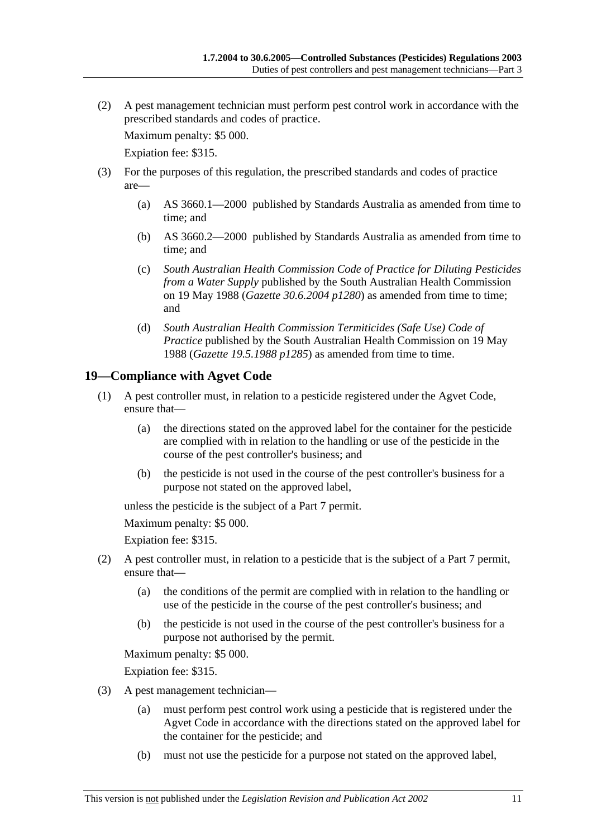(2) A pest management technician must perform pest control work in accordance with the prescribed standards and codes of practice.

Maximum penalty: \$5 000.

Expiation fee: \$315.

- (3) For the purposes of this regulation, the prescribed standards and codes of practice are—
	- (a) AS 3660.1—2000 published by Standards Australia as amended from time to time; and
	- (b) AS 3660.2—2000 published by Standards Australia as amended from time to time; and
	- (c) *South Australian Health Commission Code of Practice for Diluting Pesticides from a Water Supply* published by the South Australian Health Commission on 19 May 1988 (*Gazette 30.6.2004 p1280*) as amended from time to time; and
	- (d) *South Australian Health Commission Termiticides (Safe Use) Code of Practice* published by the South Australian Health Commission on 19 May 1988 (*Gazette 19.5.1988 p1285*) as amended from time to time.

### **19—Compliance with Agvet Code**

- (1) A pest controller must, in relation to a pesticide registered under the Agvet Code, ensure that—
	- (a) the directions stated on the approved label for the container for the pesticide are complied with in relation to the handling or use of the pesticide in the course of the pest controller's business; and
	- (b) the pesticide is not used in the course of the pest controller's business for a purpose not stated on the approved label,

unless the pesticide is the subject of a Part 7 permit.

Maximum penalty: \$5 000.

Expiation fee: \$315.

- (2) A pest controller must, in relation to a pesticide that is the subject of a Part 7 permit, ensure that—
	- (a) the conditions of the permit are complied with in relation to the handling or use of the pesticide in the course of the pest controller's business; and
	- (b) the pesticide is not used in the course of the pest controller's business for a purpose not authorised by the permit.

Maximum penalty: \$5 000.

Expiation fee: \$315.

- (3) A pest management technician—
	- (a) must perform pest control work using a pesticide that is registered under the Agvet Code in accordance with the directions stated on the approved label for the container for the pesticide; and
	- (b) must not use the pesticide for a purpose not stated on the approved label,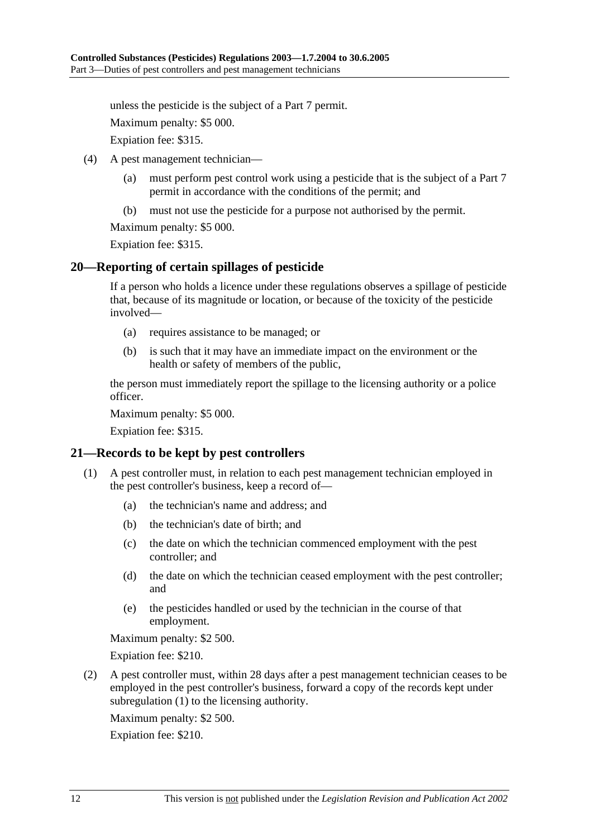unless the pesticide is the subject of a Part 7 permit.

Maximum penalty: \$5 000.

Expiation fee: \$315.

- (4) A pest management technician—
	- (a) must perform pest control work using a pesticide that is the subject of a Part 7 permit in accordance with the conditions of the permit; and
	- (b) must not use the pesticide for a purpose not authorised by the permit.

Maximum penalty: \$5 000.

Expiation fee: \$315.

#### **20—Reporting of certain spillages of pesticide**

If a person who holds a licence under these regulations observes a spillage of pesticide that, because of its magnitude or location, or because of the toxicity of the pesticide involved—

- (a) requires assistance to be managed; or
- (b) is such that it may have an immediate impact on the environment or the health or safety of members of the public,

the person must immediately report the spillage to the licensing authority or a police officer.

Maximum penalty: \$5 000.

Expiation fee: \$315.

#### **21—Records to be kept by pest controllers**

- (1) A pest controller must, in relation to each pest management technician employed in the pest controller's business, keep a record of—
	- (a) the technician's name and address; and
	- (b) the technician's date of birth; and
	- (c) the date on which the technician commenced employment with the pest controller; and
	- (d) the date on which the technician ceased employment with the pest controller; and
	- (e) the pesticides handled or used by the technician in the course of that employment.

Maximum penalty: \$2 500.

Expiation fee: \$210.

 (2) A pest controller must, within 28 days after a pest management technician ceases to be employed in the pest controller's business, forward a copy of the records kept under subregulation (1) to the licensing authority.

Maximum penalty: \$2 500.

Expiation fee: \$210.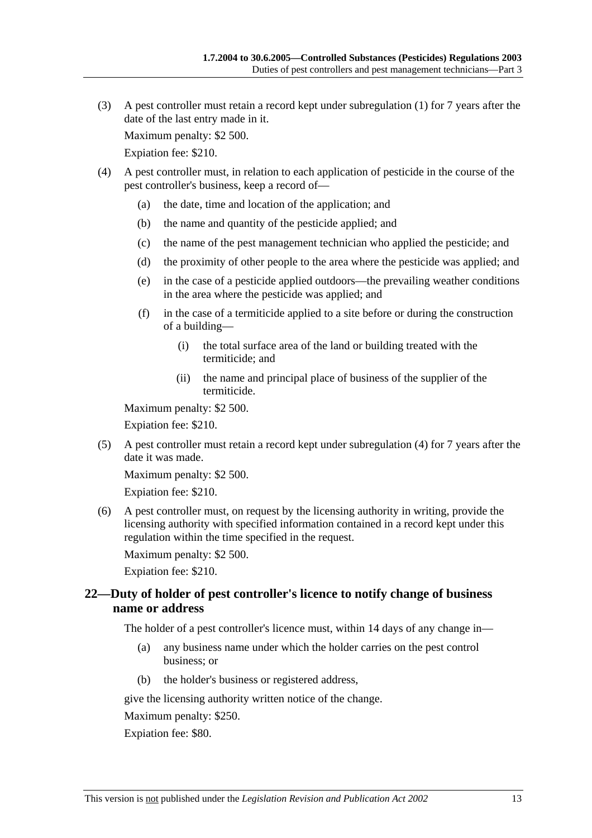(3) A pest controller must retain a record kept under subregulation (1) for 7 years after the date of the last entry made in it.

Maximum penalty: \$2 500.

Expiation fee: \$210.

- (4) A pest controller must, in relation to each application of pesticide in the course of the pest controller's business, keep a record of—
	- (a) the date, time and location of the application; and
	- (b) the name and quantity of the pesticide applied; and
	- (c) the name of the pest management technician who applied the pesticide; and
	- (d) the proximity of other people to the area where the pesticide was applied; and
	- (e) in the case of a pesticide applied outdoors—the prevailing weather conditions in the area where the pesticide was applied; and
	- (f) in the case of a termiticide applied to a site before or during the construction of a building—
		- (i) the total surface area of the land or building treated with the termiticide; and
		- (ii) the name and principal place of business of the supplier of the termiticide.

Maximum penalty: \$2 500.

Expiation fee: \$210.

 (5) A pest controller must retain a record kept under subregulation (4) for 7 years after the date it was made.

Maximum penalty: \$2 500.

Expiation fee: \$210.

 (6) A pest controller must, on request by the licensing authority in writing, provide the licensing authority with specified information contained in a record kept under this regulation within the time specified in the request.

Maximum penalty: \$2 500.

Expiation fee: \$210.

### **22—Duty of holder of pest controller's licence to notify change of business name or address**

The holder of a pest controller's licence must, within 14 days of any change in—

- (a) any business name under which the holder carries on the pest control business; or
- (b) the holder's business or registered address,

give the licensing authority written notice of the change.

Maximum penalty: \$250.

Expiation fee: \$80.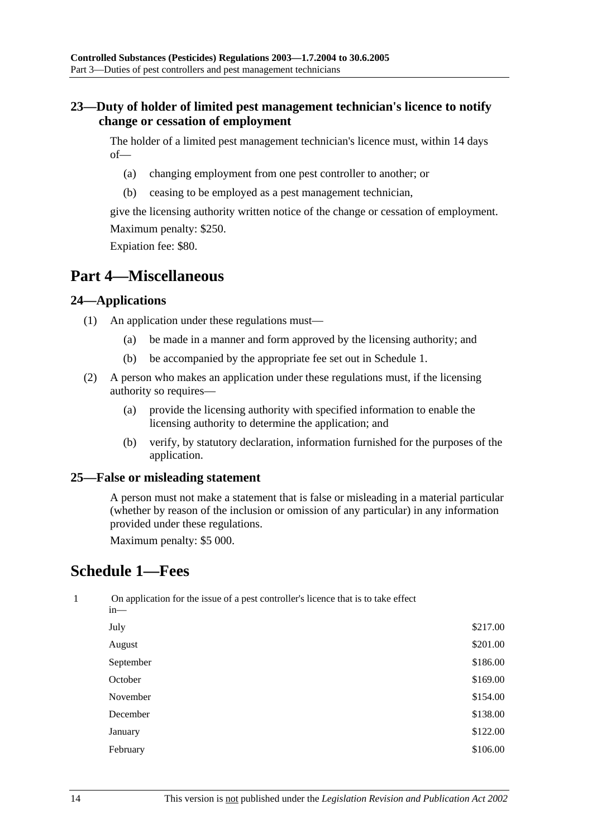### **23—Duty of holder of limited pest management technician's licence to notify change or cessation of employment**

The holder of a limited pest management technician's licence must, within 14 days of—

- (a) changing employment from one pest controller to another; or
- (b) ceasing to be employed as a pest management technician,

give the licensing authority written notice of the change or cessation of employment. Maximum penalty: \$250.

Expiation fee: \$80.

# **Part 4—Miscellaneous**

#### **24—Applications**

- (1) An application under these regulations must—
	- (a) be made in a manner and form approved by the licensing authority; and
	- (b) be accompanied by the appropriate fee set out in Schedule 1.
- (2) A person who makes an application under these regulations must, if the licensing authority so requires—
	- (a) provide the licensing authority with specified information to enable the licensing authority to determine the application; and
	- (b) verify, by statutory declaration, information furnished for the purposes of the application.

#### **25—False or misleading statement**

A person must not make a statement that is false or misleading in a material particular (whether by reason of the inclusion or omission of any particular) in any information provided under these regulations.

Maximum penalty: \$5 000.

# **Schedule 1—Fees**

| 1 | On application for the issue of a pest controller's licence that is to take effect<br>in— |          |  |  |
|---|-------------------------------------------------------------------------------------------|----------|--|--|
|   | July                                                                                      | \$217.00 |  |  |
|   | August                                                                                    | \$201.00 |  |  |
|   | September                                                                                 | \$186.00 |  |  |
|   | October                                                                                   | \$169.00 |  |  |
|   | November                                                                                  | \$154.00 |  |  |
|   | December                                                                                  | \$138.00 |  |  |
|   | January                                                                                   | \$122.00 |  |  |
|   | February                                                                                  | \$106.00 |  |  |
|   |                                                                                           |          |  |  |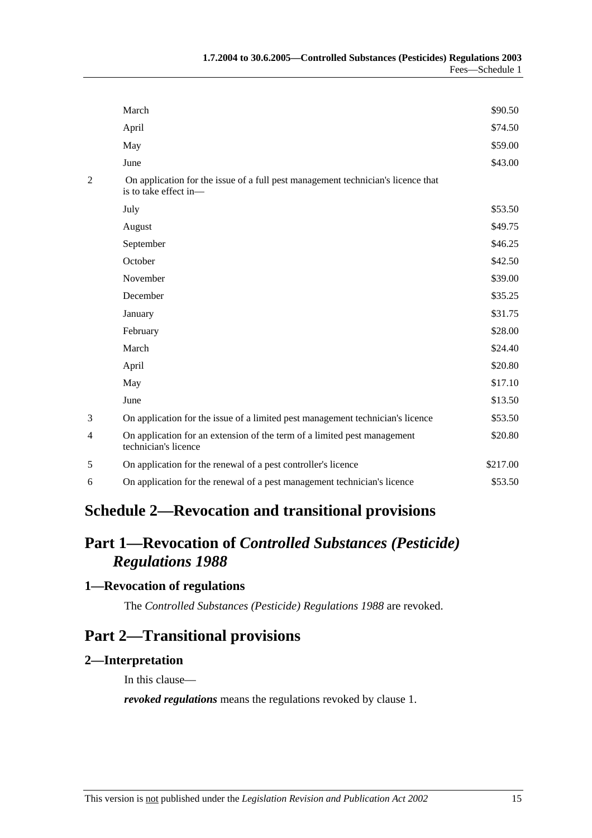|   | March                                                                                                     | \$90.50  |  |  |
|---|-----------------------------------------------------------------------------------------------------------|----------|--|--|
|   | April                                                                                                     | \$74.50  |  |  |
|   | May                                                                                                       | \$59.00  |  |  |
|   | June                                                                                                      | \$43.00  |  |  |
| 2 | On application for the issue of a full pest management technician's licence that<br>is to take effect in- |          |  |  |
|   | July                                                                                                      | \$53.50  |  |  |
|   | August                                                                                                    | \$49.75  |  |  |
|   | September                                                                                                 | \$46.25  |  |  |
|   | October                                                                                                   | \$42.50  |  |  |
|   | November                                                                                                  | \$39.00  |  |  |
|   | December                                                                                                  | \$35.25  |  |  |
|   | January                                                                                                   | \$31.75  |  |  |
|   | February                                                                                                  | \$28.00  |  |  |
|   | March                                                                                                     | \$24.40  |  |  |
|   | April                                                                                                     | \$20.80  |  |  |
|   | May                                                                                                       | \$17.10  |  |  |
|   | June                                                                                                      | \$13.50  |  |  |
| 3 | On application for the issue of a limited pest management technician's licence                            | \$53.50  |  |  |
| 4 | On application for an extension of the term of a limited pest management<br>technician's licence          | \$20.80  |  |  |
| 5 | On application for the renewal of a pest controller's licence                                             | \$217.00 |  |  |
| 6 | On application for the renewal of a pest management technician's licence                                  | \$53.50  |  |  |
|   |                                                                                                           |          |  |  |

# **Schedule 2—Revocation and transitional provisions**

# **Part 1—Revocation of** *Controlled Substances (Pesticide) Regulations 1988*

# **1—Revocation of regulations**

The *Controlled Substances (Pesticide) Regulations 1988* are revoked.

# **Part 2—Transitional provisions**

### **2—Interpretation**

In this clause—

*revoked regulations* means the regulations revoked by clause 1.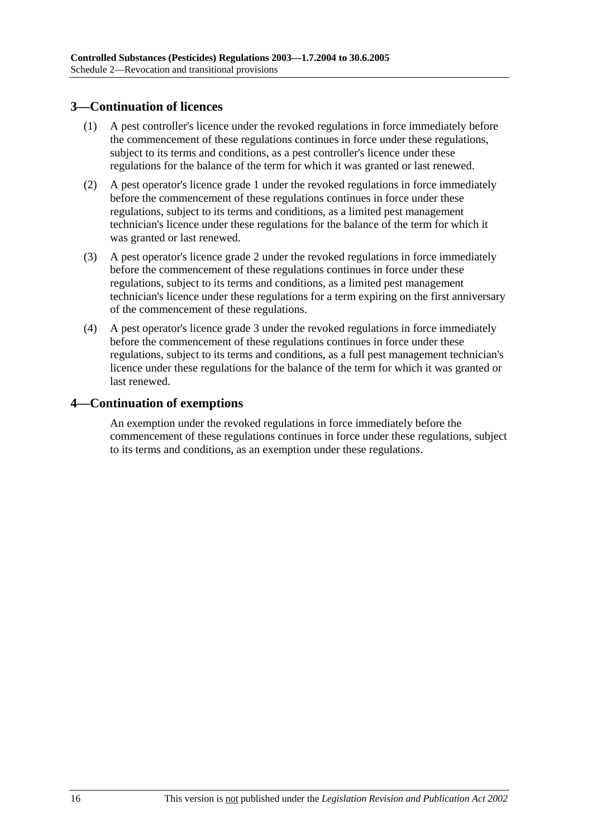### **3—Continuation of licences**

- (1) A pest controller's licence under the revoked regulations in force immediately before the commencement of these regulations continues in force under these regulations, subject to its terms and conditions, as a pest controller's licence under these regulations for the balance of the term for which it was granted or last renewed.
- (2) A pest operator's licence grade 1 under the revoked regulations in force immediately before the commencement of these regulations continues in force under these regulations, subject to its terms and conditions, as a limited pest management technician's licence under these regulations for the balance of the term for which it was granted or last renewed.
- (3) A pest operator's licence grade 2 under the revoked regulations in force immediately before the commencement of these regulations continues in force under these regulations, subject to its terms and conditions, as a limited pest management technician's licence under these regulations for a term expiring on the first anniversary of the commencement of these regulations.
- (4) A pest operator's licence grade 3 under the revoked regulations in force immediately before the commencement of these regulations continues in force under these regulations, subject to its terms and conditions, as a full pest management technician's licence under these regulations for the balance of the term for which it was granted or last renewed.

#### **4—Continuation of exemptions**

An exemption under the revoked regulations in force immediately before the commencement of these regulations continues in force under these regulations, subject to its terms and conditions, as an exemption under these regulations.